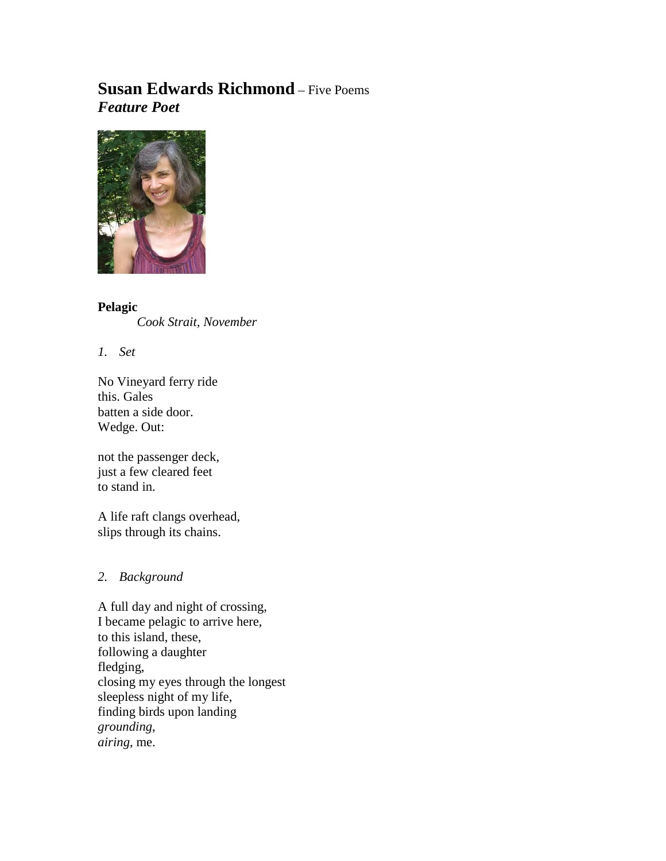# **Susan Edwards Richmond** – Five Poems *Feature Poet*



**Pelagic** *Cook Strait, November* 

*1. Set*

No Vineyard ferry ride this. Gales batten a side door. Wedge. Out:

not the passenger deck, just a few cleared feet to stand in.

A life raft clangs overhead, slips through its chains.

## *2. Background*

A full day and night of crossing, I became pelagic to arrive here, to this island, these, following a daughter fledging, closing my eyes through the longest sleepless night of my life, finding birds upon landing *grounding*, *airing*, me.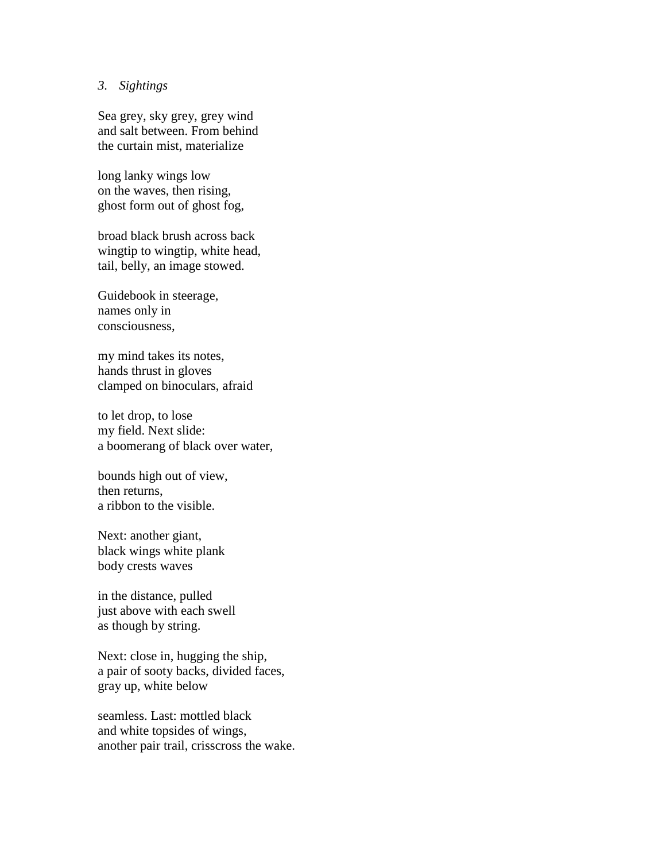#### *3. Sightings*

Sea grey, sky grey, grey wind and salt between. From behind the curtain mist, materialize

long lanky wings low on the waves, then rising, ghost form out of ghost fog,

broad black brush across back wingtip to wingtip, white head, tail, belly, an image stowed.

Guidebook in steerage, names only in consciousness,

my mind takes its notes, hands thrust in gloves clamped on binoculars, afraid

to let drop, to lose my field. Next slide: a boomerang of black over water,

bounds high out of view, then returns, a ribbon to the visible.

Next: another giant, black wings white plank body crests waves

in the distance, pulled just above with each swell as though by string.

Next: close in, hugging the ship, a pair of sooty backs, divided faces, gray up, white below

seamless. Last: mottled black and white topsides of wings, another pair trail, crisscross the wake.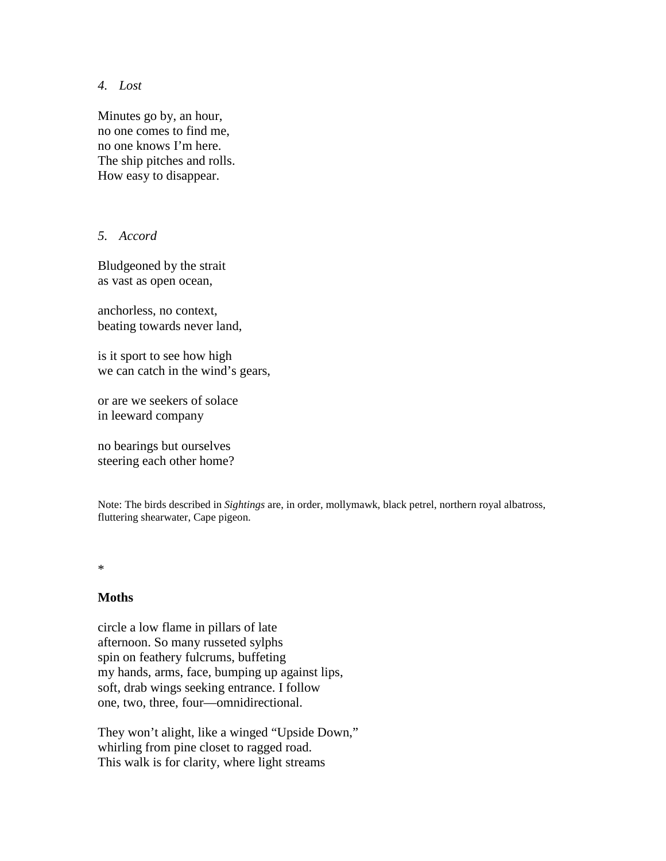*4. Lost*

Minutes go by, an hour, no one comes to find me, no one knows I'm here. The ship pitches and rolls. How easy to disappear.

### *5. Accord*

Bludgeoned by the strait as vast as open ocean,

anchorless, no context, beating towards never land,

is it sport to see how high we can catch in the wind's gears,

or are we seekers of solace in leeward company

no bearings but ourselves steering each other home?

Note: The birds described in *Sightings* are, in order, mollymawk, black petrel, northern royal albatross, fluttering shearwater, Cape pigeon.

\*

#### **Moths**

circle a low flame in pillars of late afternoon. So many russeted sylphs spin on feathery fulcrums, buffeting my hands, arms, face, bumping up against lips, soft, drab wings seeking entrance. I follow one, two, three, four—omnidirectional.

They won't alight, like a winged "Upside Down," whirling from pine closet to ragged road. This walk is for clarity, where light streams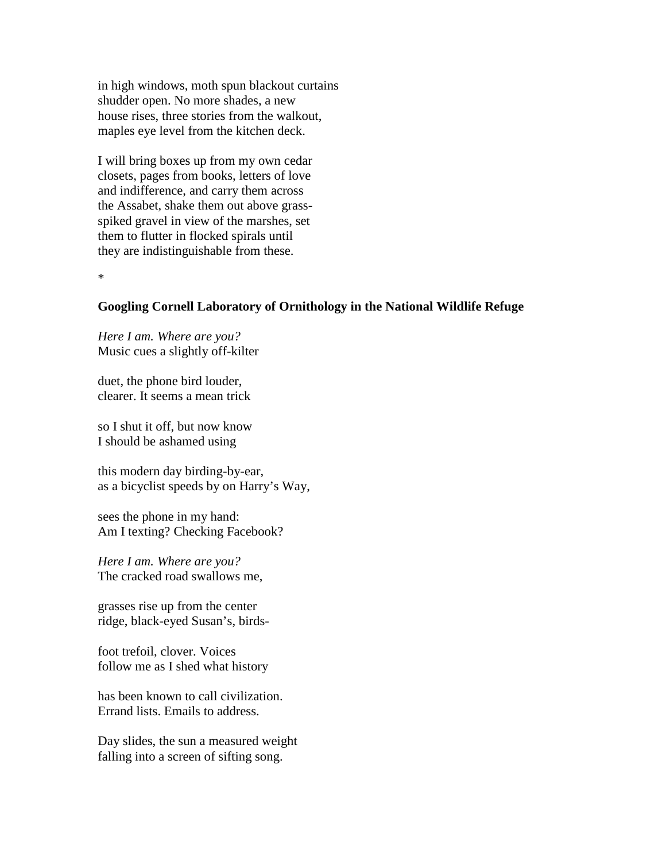in high windows, moth spun blackout curtains shudder open. No more shades, a new house rises, three stories from the walkout, maples eye level from the kitchen deck.

I will bring boxes up from my own cedar closets, pages from books, letters of love and indifference, and carry them across the Assabet, shake them out above grassspiked gravel in view of the marshes, set them to flutter in flocked spirals until they are indistinguishable from these.

\*

#### **Googling Cornell Laboratory of Ornithology in the National Wildlife Refuge**

*Here I am. Where are you?* Music cues a slightly off-kilter

duet, the phone bird louder, clearer. It seems a mean trick

so I shut it off, but now know I should be ashamed using

this modern day birding-by-ear, as a bicyclist speeds by on Harry's Way,

sees the phone in my hand: Am I texting? Checking Facebook?

*Here I am. Where are you?* The cracked road swallows me,

grasses rise up from the center ridge, black-eyed Susan's, birds-

foot trefoil, clover. Voices follow me as I shed what history

has been known to call civilization. Errand lists. Emails to address.

Day slides, the sun a measured weight falling into a screen of sifting song.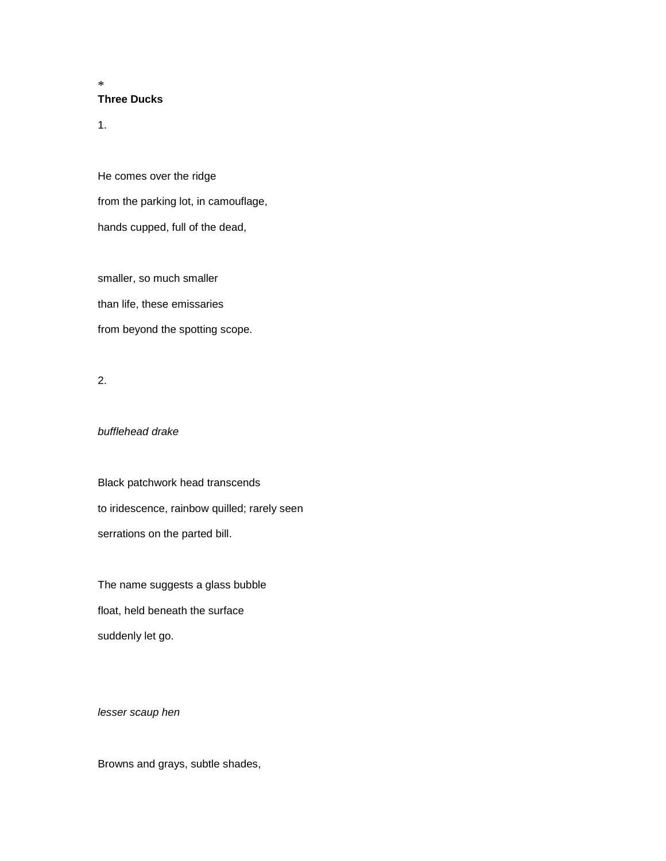#### **Three Ducks**

1.

\*

He comes over the ridge from the parking lot, in camouflage, hands cupped, full of the dead,

smaller, so much smaller than life, these emissaries from beyond the spotting scope.

2.

#### *bufflehead drake*

Black patchwork head transcends to iridescence, rainbow quilled; rarely seen serrations on the parted bill.

The name suggests a glass bubble float, held beneath the surface suddenly let go.

*lesser scaup hen*

Browns and grays, subtle shades,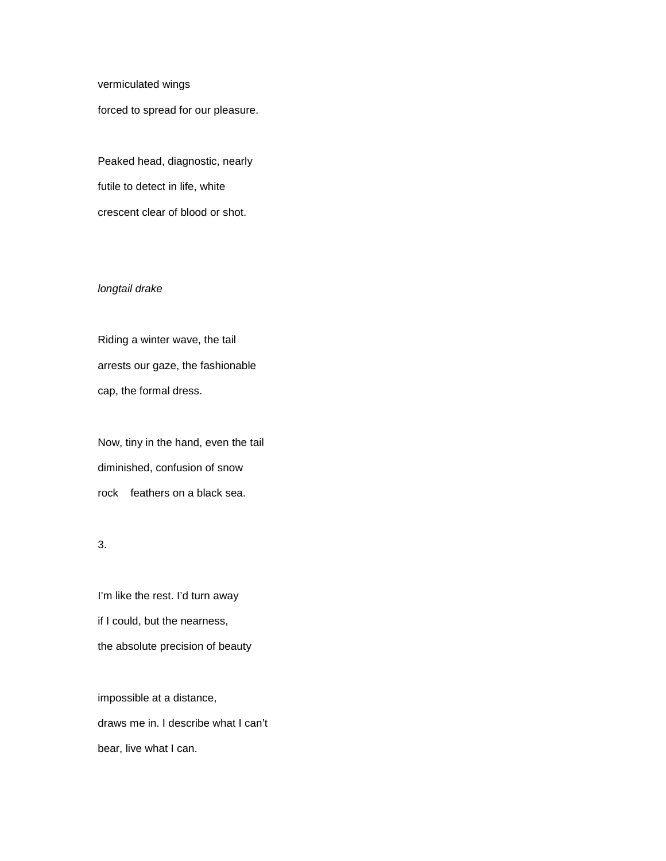vermiculated wings

forced to spread for our pleasure.

Peaked head, diagnostic, nearly futile to detect in life, white crescent clear of blood or shot.

#### *longtail drake*

Riding a winter wave, the tail arrests our gaze, the fashionable cap, the formal dress.

Now, tiny in the hand, even the tail diminished, confusion of snow rock feathers on a black sea.

3.

I'm like the rest. I'd turn away if I could, but the nearness, the absolute precision of beauty

impossible at a distance, draws me in. I describe what I can't bear, live what I can.